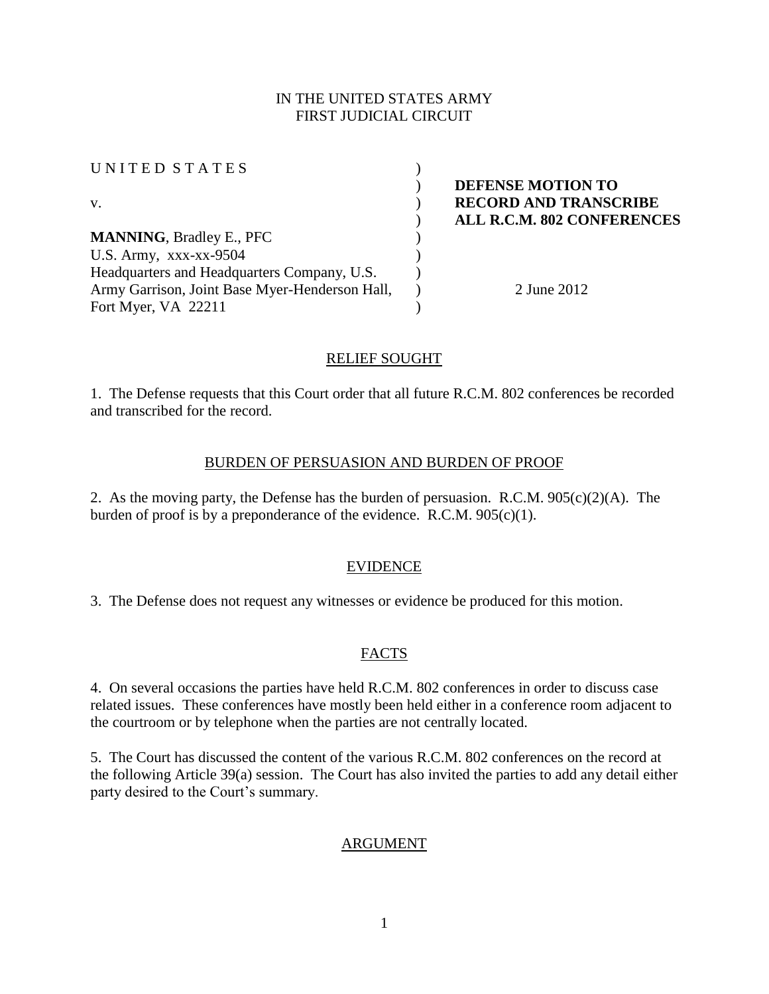## IN THE UNITED STATES ARMY FIRST JUDICIAL CIRCUIT

| UNITED STATES                                  |                                   |
|------------------------------------------------|-----------------------------------|
|                                                | DEFENSE MOTION TO                 |
| V.                                             | <b>RECORD AND TRANSCRIBE</b>      |
|                                                | <b>ALL R.C.M. 802 CONFERENCES</b> |
| <b>MANNING, Bradley E., PFC</b>                |                                   |
| U.S. Army, $XXX-XX-9504$                       |                                   |
| Headquarters and Headquarters Company, U.S.    |                                   |
| Army Garrison, Joint Base Myer-Henderson Hall, | 2 June 2012                       |
| Fort Myer, VA 22211                            |                                   |

### RELIEF SOUGHT

1. The Defense requests that this Court order that all future R.C.M. 802 conferences be recorded and transcribed for the record.

#### BURDEN OF PERSUASION AND BURDEN OF PROOF

2. As the moving party, the Defense has the burden of persuasion. R.C.M.  $905(c)(2)(A)$ . The burden of proof is by a preponderance of the evidence. R.C.M. 905(c)(1).

#### EVIDENCE

3. The Defense does not request any witnesses or evidence be produced for this motion.

## FACTS

4. On several occasions the parties have held R.C.M. 802 conferences in order to discuss case related issues. These conferences have mostly been held either in a conference room adjacent to the courtroom or by telephone when the parties are not centrally located.

5. The Court has discussed the content of the various R.C.M. 802 conferences on the record at the following Article 39(a) session. The Court has also invited the parties to add any detail either party desired to the Court's summary.

## ARGUMENT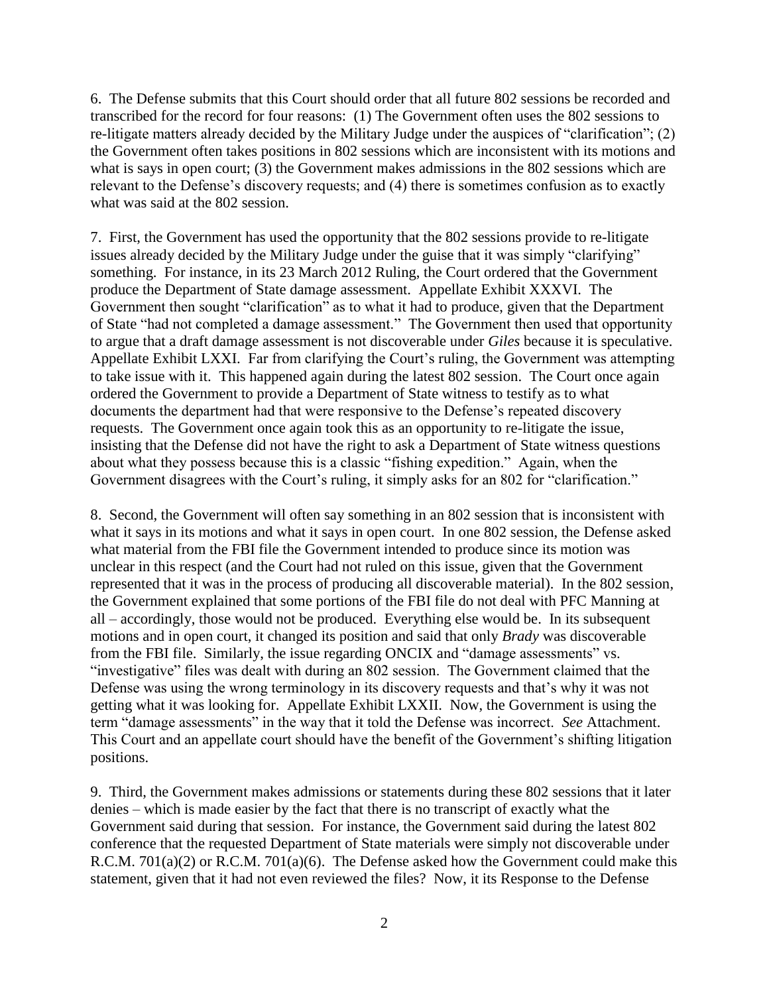6. The Defense submits that this Court should order that all future 802 sessions be recorded and transcribed for the record for four reasons: (1) The Government often uses the 802 sessions to re-litigate matters already decided by the Military Judge under the auspices of "clarification"; (2) the Government often takes positions in 802 sessions which are inconsistent with its motions and what is says in open court; (3) the Government makes admissions in the 802 sessions which are relevant to the Defense's discovery requests; and (4) there is sometimes confusion as to exactly what was said at the 802 session.

7. First, the Government has used the opportunity that the 802 sessions provide to re-litigate issues already decided by the Military Judge under the guise that it was simply "clarifying" something. For instance, in its 23 March 2012 Ruling, the Court ordered that the Government produce the Department of State damage assessment. Appellate Exhibit XXXVI. The Government then sought "clarification" as to what it had to produce, given that the Department of State "had not completed a damage assessment." The Government then used that opportunity to argue that a draft damage assessment is not discoverable under *Giles* because it is speculative. Appellate Exhibit LXXI. Far from clarifying the Court's ruling, the Government was attempting to take issue with it. This happened again during the latest 802 session. The Court once again ordered the Government to provide a Department of State witness to testify as to what documents the department had that were responsive to the Defense's repeated discovery requests. The Government once again took this as an opportunity to re-litigate the issue, insisting that the Defense did not have the right to ask a Department of State witness questions about what they possess because this is a classic "fishing expedition." Again, when the Government disagrees with the Court's ruling, it simply asks for an 802 for "clarification."

8. Second, the Government will often say something in an 802 session that is inconsistent with what it says in its motions and what it says in open court. In one 802 session, the Defense asked what material from the FBI file the Government intended to produce since its motion was unclear in this respect (and the Court had not ruled on this issue, given that the Government represented that it was in the process of producing all discoverable material). In the 802 session, the Government explained that some portions of the FBI file do not deal with PFC Manning at all – accordingly, those would not be produced. Everything else would be. In its subsequent motions and in open court, it changed its position and said that only *Brady* was discoverable from the FBI file. Similarly, the issue regarding ONCIX and "damage assessments" vs. "investigative" files was dealt with during an 802 session. The Government claimed that the Defense was using the wrong terminology in its discovery requests and that's why it was not getting what it was looking for. Appellate Exhibit LXXII. Now, the Government is using the term "damage assessments" in the way that it told the Defense was incorrect. *See* Attachment. This Court and an appellate court should have the benefit of the Government's shifting litigation positions.

9. Third, the Government makes admissions or statements during these 802 sessions that it later denies – which is made easier by the fact that there is no transcript of exactly what the Government said during that session. For instance, the Government said during the latest 802 conference that the requested Department of State materials were simply not discoverable under R.C.M. 701(a)(2) or R.C.M. 701(a)(6). The Defense asked how the Government could make this statement, given that it had not even reviewed the files? Now, it its Response to the Defense